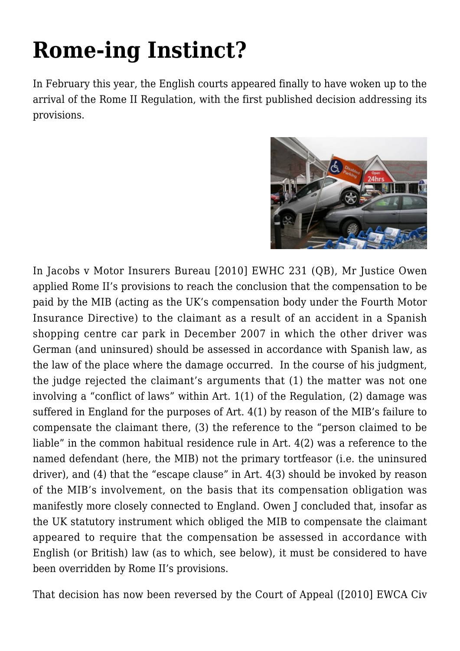## **[Rome-ing Instinct?](https://conflictoflaws.net/2010/rome-ing-instinct/)**

In February this year, the English courts appeared finally to have woken up to the arrival of the Rome II Regulation, with the first published decision addressing its provisions.



In [Jacobs v Motor Insurers Bureau \[2010\] EWHC 231 \(QB\)](http://www.bailii.org/ew/cases/EWHC/QB/2010/231.html), Mr Justice Owen applied Rome II's provisions to reach the conclusion that the compensation to be paid by the MIB (acting as the UK's compensation body under the Fourth Motor Insurance Directive) to the claimant as a result of an accident in a Spanish shopping centre car park in December 2007 in which the other driver was German (and uninsured) should be assessed in accordance with Spanish law, as the law of the place where the damage occurred. In the course of his judgment, the judge rejected the claimant's arguments that (1) the matter was not one involving a "conflict of laws" within Art. 1(1) of the Regulation, (2) damage was suffered in England for the purposes of Art. 4(1) by reason of the MIB's failure to compensate the claimant there, (3) the reference to the "person claimed to be liable" in the common habitual residence rule in Art. 4(2) was a reference to the named defendant (here, the MIB) not the primary tortfeasor (i.e. the uninsured driver), and (4) that the "escape clause" in Art. 4(3) should be invoked by reason of the MIB's involvement, on the basis that its compensation obligation was manifestly more closely connected to England. Owen J concluded that, insofar as the UK statutory instrument which obliged the MIB to compensate the claimant appeared to require that the compensation be assessed in accordance with English (or British) law (as to which, see below), it must be considered to have been overridden by Rome II's provisions.

That decision has now been reversed by the Court of Appeal [\(\[2010\] EWCA Civ](http://www.bailii.org/ew/cases/EWCA/Civ/2010/1208.html)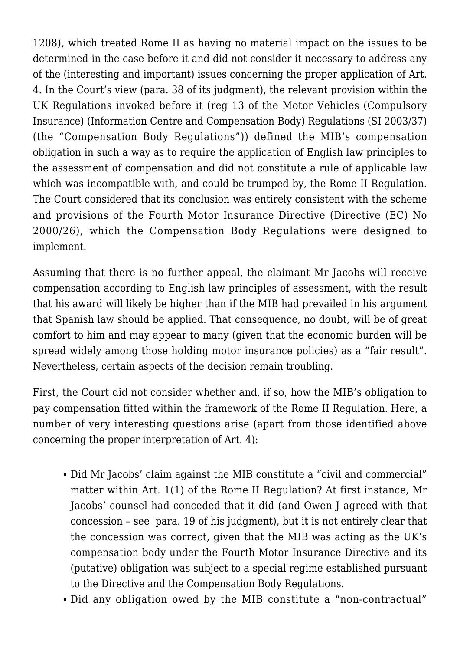[1208](http://www.bailii.org/ew/cases/EWCA/Civ/2010/1208.html)), which treated Rome II as having no material impact on the issues to be determined in the case before it and did not consider it necessary to address any of the (interesting and important) issues concerning the proper application of Art. 4. In the Court's view (para. 38 of its judgment), the relevant provision within the UK Regulations invoked before it (reg 13 of the [Motor Vehicles \(Compulsory](http://www.statutelaw.gov.uk/legResults.aspx?LegType=All+Legislation&Year=2003&searchEnacted=0&extentMatchOnly=0&confersPower=0&blanketAmendment=0&sortAlpha=0&TYPE=QS&PageNumber=2&NavFrom=0&activeTextDocId=824557) [Insurance\) \(Information Centre and Compensation Body\) Regulations \(SI 2003/37\)](http://www.statutelaw.gov.uk/legResults.aspx?LegType=All+Legislation&Year=2003&searchEnacted=0&extentMatchOnly=0&confersPower=0&blanketAmendment=0&sortAlpha=0&TYPE=QS&PageNumber=2&NavFrom=0&activeTextDocId=824557) (the "Compensation Body Regulations")) defined the MIB's compensation obligation in such a way as to require the application of English law principles to the assessment of compensation and did not constitute a rule of applicable law which was incompatible with, and could be trumped by, the Rome II Regulation. The Court considered that its conclusion was entirely consistent with the scheme and provisions of the Fourth Motor Insurance Directive (Directive (EC) No 2000/26), which the Compensation Body Regulations were designed to implement.

Assuming that there is no further appeal, the claimant Mr Jacobs will receive compensation according to English law principles of assessment, with the result that his award will likely be higher than if the MIB had prevailed in his argument that Spanish law should be applied. That consequence, no doubt, will be of great comfort to him and may appear to many (given that the economic burden will be spread widely among those holding motor insurance policies) as a "fair result". Nevertheless, certain aspects of the decision remain troubling.

First, the Court did not consider whether and, if so, how the MIB's obligation to pay compensation fitted within the framework of the Rome II Regulation. Here, a number of very interesting questions arise (apart from those identified above concerning the proper interpretation of Art. 4):

- Did Mr Jacobs' claim against the MIB constitute a "civil and commercial" matter within Art. 1(1) of the Rome II Regulation? At first instance, Mr Jacobs' counsel had conceded that it did (and Owen J agreed with that concession – see para. 19 of his judgment), but it is not entirely clear that the concession was correct, given that the MIB was acting as the UK's compensation body under the Fourth Motor Insurance Directive and its (putative) obligation was subject to a special regime established pursuant to the Directive and the Compensation Body Regulations.
- Did any obligation owed by the MIB constitute a "non-contractual"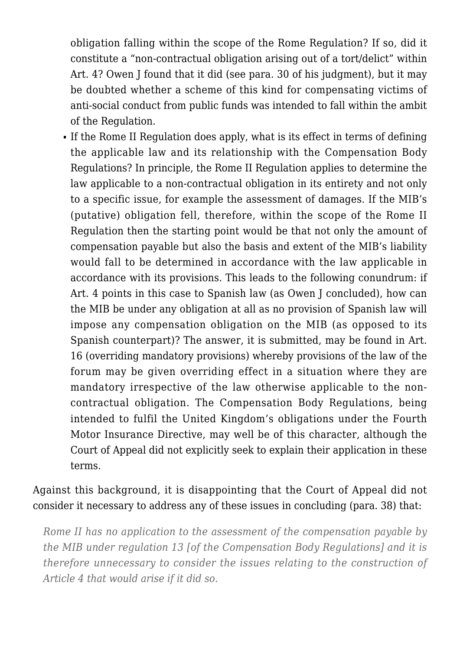obligation falling within the scope of the Rome Regulation? If so, did it constitute a "non-contractual obligation arising out of a tort/delict" within Art. 4? Owen I found that it did (see para. 30 of his judgment), but it may be doubted whether a scheme of this kind for compensating victims of anti-social conduct from public funds was intended to fall within the ambit of the Regulation.

If the Rome II Regulation does apply, what is its effect in terms of defining the applicable law and its relationship with the Compensation Body Regulations? In principle, the Rome II Regulation applies to determine the law applicable to a non-contractual obligation in its entirety and not only to a specific issue, for example the assessment of damages. If the MIB's (putative) obligation fell, therefore, within the scope of the Rome II Regulation then the starting point would be that not only the amount of compensation payable but also the basis and extent of the MIB's liability would fall to be determined in accordance with the law applicable in accordance with its provisions. This leads to the following conundrum: if Art. 4 points in this case to Spanish law (as Owen J concluded), how can the MIB be under any obligation at all as no provision of Spanish law will impose any compensation obligation on the MIB (as opposed to its Spanish counterpart)? The answer, it is submitted, may be found in Art. 16 (overriding mandatory provisions) whereby provisions of the law of the forum may be given overriding effect in a situation where they are mandatory irrespective of the law otherwise applicable to the noncontractual obligation. The Compensation Body Regulations, being intended to fulfil the United Kingdom's obligations under the Fourth Motor Insurance Directive, may well be of this character, although the Court of Appeal did not explicitly seek to explain their application in these terms.

Against this background, it is disappointing that the Court of Appeal did not consider it necessary to address any of these issues in concluding (para. 38) that:

*Rome II has no application to the assessment of the compensation payable by the MIB under regulation 13 [of the Compensation Body Regulations] and it is therefore unnecessary to consider the issues relating to the construction of Article 4 that would arise if it did so.*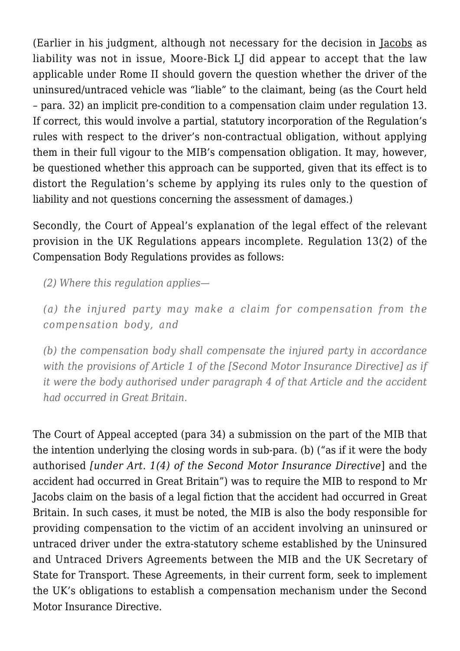(Earlier in his judgment, although not necessary for the decision in Jacobs as liability was not in issue, Moore-Bick LJ did appear to accept that the law applicable under Rome II should govern the question whether the driver of the uninsured/untraced vehicle was "liable" to the claimant, being (as the Court held – para. 32) an implicit pre-condition to a compensation claim under regulation 13. If correct, this would involve a partial, statutory incorporation of the Regulation's rules with respect to the driver's non-contractual obligation, without applying them in their full vigour to the MIB's compensation obligation. It may, however, be questioned whether this approach can be supported, given that its effect is to distort the Regulation's scheme by applying its rules only to the question of liability and not questions concerning the assessment of damages.)

Secondly, the Court of Appeal's explanation of the legal effect of the relevant provision in the UK Regulations appears incomplete. Regulation 13(2) of the Compensation Body Regulations provides as follows:

*(2) Where this regulation applies—*

*(a) the injured party may make a claim for compensation from the compensation body, and*

*(b) the compensation body shall compensate the injured party in accordance with the provisions of Article 1 of the [Second Motor Insurance Directive] as if it were the body authorised under paragraph 4 of that Article and the accident had occurred in Great Britain.*

The Court of Appeal accepted (para 34) a submission on the part of the MIB that the intention underlying the closing words in sub-para. (b) ("as if it were the body authorised *[under Art. 1(4) of the Second Motor Insurance Directive*] and the accident had occurred in Great Britain") was to require the MIB to respond to Mr Jacobs claim on the basis of a legal fiction that the accident had occurred in Great Britain. In such cases, it must be noted, the MIB is also the body responsible for providing compensation to the victim of an accident involving an uninsured or untraced driver under the extra-statutory scheme established by the [Uninsured](http://www.mib.org.uk/Downloadable+Documents/en/Agreements/Untraced+Agreements/Default.htm) [and Untraced Drivers Agreements](http://www.mib.org.uk/Downloadable+Documents/en/Agreements/Untraced+Agreements/Default.htm) between the MIB and the UK Secretary of State for Transport. These Agreements, in their current form, seek to implement the UK's obligations to establish a compensation mechanism under the Second Motor Insurance Directive.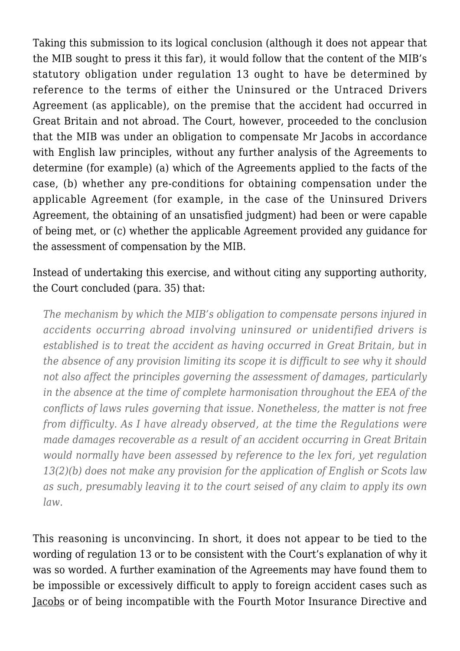Taking this submission to its logical conclusion (although it does not appear that the MIB sought to press it this far), it would follow that the content of the MIB's statutory obligation under regulation 13 ought to have be determined by reference to the terms of either the Uninsured or the Untraced Drivers Agreement (as applicable), on the premise that the accident had occurred in Great Britain and not abroad. The Court, however, proceeded to the conclusion that the MIB was under an obligation to compensate Mr Jacobs in accordance with English law principles, without any further analysis of the Agreements to determine (for example) (a) which of the Agreements applied to the facts of the case, (b) whether any pre-conditions for obtaining compensation under the applicable Agreement (for example, in the case of the Uninsured Drivers Agreement, the obtaining of an unsatisfied judgment) had been or were capable of being met, or (c) whether the applicable Agreement provided any guidance for the assessment of compensation by the MIB.

## Instead of undertaking this exercise, and without citing any supporting authority, the Court concluded (para. 35) that:

*The mechanism by which the MIB's obligation to compensate persons injured in accidents occurring abroad involving uninsured or unidentified drivers is established is to treat the accident as having occurred in Great Britain, but in the absence of any provision limiting its scope it is difficult to see why it should not also affect the principles governing the assessment of damages, particularly in the absence at the time of complete harmonisation throughout the EEA of the conflicts of laws rules governing that issue. Nonetheless, the matter is not free from difficulty. As I have already observed, at the time the Regulations were made damages recoverable as a result of an accident occurring in Great Britain would normally have been assessed by reference to the lex fori, yet regulation 13(2)(b) does not make any provision for the application of English or Scots law as such, presumably leaving it to the court seised of any claim to apply its own law.*

This reasoning is unconvincing. In short, it does not appear to be tied to the wording of regulation 13 or to be consistent with the Court's explanation of why it was so worded. A further examination of the Agreements may have found them to be impossible or excessively difficult to apply to foreign accident cases such as Jacobs or of being incompatible with the Fourth Motor Insurance Directive and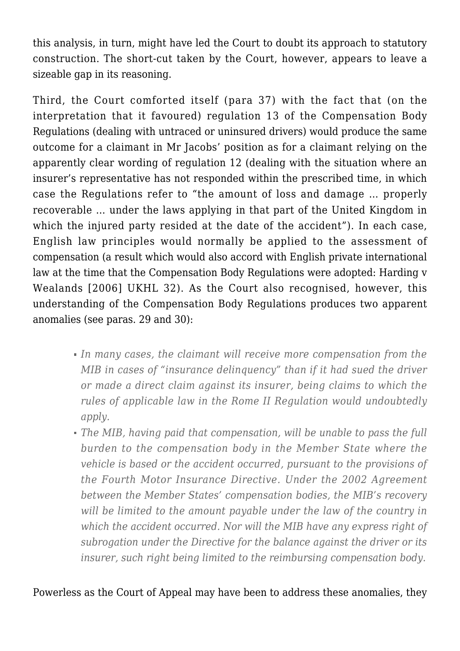this analysis, in turn, might have led the Court to doubt its approach to statutory construction. The short-cut taken by the Court, however, appears to leave a sizeable gap in its reasoning.

Third, the Court comforted itself (para 37) with the fact that (on the interpretation that it favoured) regulation 13 of the Compensation Body Regulations (dealing with untraced or uninsured drivers) would produce the same outcome for a claimant in Mr Jacobs' position as for a claimant relying on the apparently clear wording of regulation 12 (dealing with the situation where an insurer's representative has not responded within the prescribed time, in which case the Regulations refer to "the amount of loss and damage … properly recoverable … under the laws applying in that part of the United Kingdom in which the injured party resided at the date of the accident"). In each case, English law principles would normally be applied to the assessment of compensation (a result which would also accord with English private international law at the time that the Compensation Body Regulations were adopted: Harding v Wealands [2006] UKHL 32). As the Court also recognised, however, this understanding of the Compensation Body Regulations produces two apparent anomalies (see paras. 29 and 30):

- *In many cases, the claimant will receive more compensation from the MIB in cases of "insurance delinquency" than if it had sued the driver or made a direct claim against its insurer, being claims to which the rules of applicable law in the Rome II Regulation would undoubtedly apply.*
- *The MIB, having paid that compensation, will be unable to pass the full burden to the compensation body in the Member State where the vehicle is based or the accident occurred, pursuant to the provisions of the Fourth Motor Insurance Directive. Under the 2002 Agreement between the Member States' compensation bodies, the MIB's recovery will be limited to the amount payable under the law of the country in which the accident occurred. Nor will the MIB have any express right of subrogation under the Directive for the balance against the driver or its insurer, such right being limited to the reimbursing compensation body.*

Powerless as the Court of Appeal may have been to address these anomalies, they